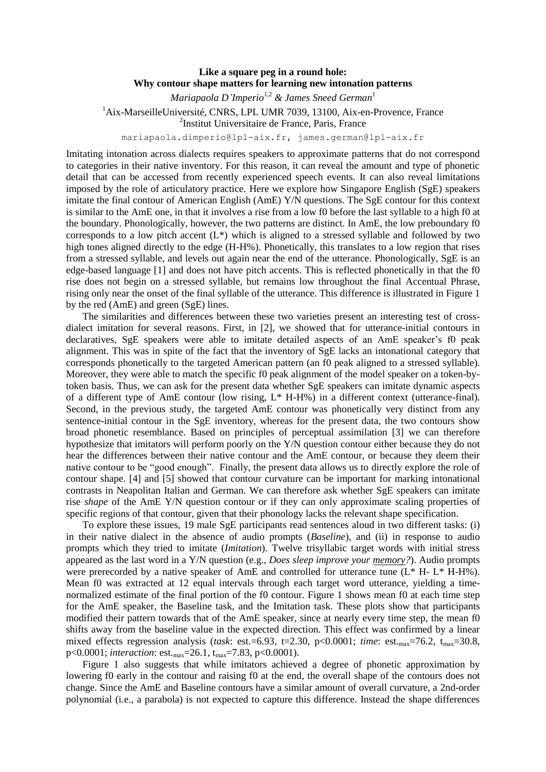## **Like a square peg in a round hole: Why contour shape matters for learning new intonation patterns**

*Mariapaola D'Imperio*1,2 *& James Sneed German*<sup>1</sup> <sup>1</sup>Aix-MarseilleUniversité, CNRS, LPL UMR 7039, 13100, Aix-en-Provence, France 2 Institut Universitaire de France, Paris, France

mariapaola.dimperio@lpl-aix.fr, james.german@lpl-aix.fr

Imitating intonation across dialects requires speakers to approximate patterns that do not correspond to categories in their native inventory. For this reason, it can reveal the amount and type of phonetic detail that can be accessed from recently experienced speech events. It can also reveal limitations imposed by the role of articulatory practice. Here we explore how Singapore English (SgE) speakers imitate the final contour of American English (AmE) Y/N questions. The SgE contour for this context is similar to the AmE one, in that it involves a rise from a low f0 before the last syllable to a high f0 at the boundary. Phonologically, however, the two patterns are distinct. In AmE, the low preboundary f0 corresponds to a low pitch accent  $(L^*)$  which is aligned to a stressed syllable and followed by two high tones aligned directly to the edge (H-H%). Phonetically, this translates to a low region that rises from a stressed syllable, and levels out again near the end of the utterance. Phonologically, SgE is an edge-based language [1] and does not have pitch accents. This is reflected phonetically in that the f0 rise does not begin on a stressed syllable, but remains low throughout the final Accentual Phrase, rising only near the onset of the final syllable of the utterance. This difference is illustrated in Figure 1 by the red (AmE) and green (SgE) lines.

The similarities and differences between these two varieties present an interesting test of crossdialect imitation for several reasons. First, in [2], we showed that for utterance-initial contours in declaratives, SgE speakers were able to imitate detailed aspects of an AmE speaker's f0 peak alignment. This was in spite of the fact that the inventory of SgE lacks an intonational category that corresponds phonetically to the targeted American pattern (an f0 peak aligned to a stressed syllable). Moreover, they were able to match the specific f0 peak alignment of the model speaker on a token-bytoken basis. Thus, we can ask for the present data whether SgE speakers can imitate dynamic aspects of a different type of AmE contour (low rising, L\* H-H%) in a different context (utterance-final). Second, in the previous study, the targeted AmE contour was phonetically very distinct from any sentence-initial contour in the SgE inventory, whereas for the present data, the two contours show broad phonetic resemblance. Based on principles of perceptual assimilation [3] we can therefore hypothesize that imitators will perform poorly on the Y/N question contour either because they do not hear the differences between their native contour and the AmE contour, or because they deem their native contour to be "good enough". Finally, the present data allows us to directly explore the role of contour shape. [4] and [5] showed that contour curvature can be important for marking intonational contrasts in Neapolitan Italian and German. We can therefore ask whether SgE speakers can imitate rise *shape* of the AmE Y/N question contour or if they can only approximate scaling properties of specific regions of that contour, given that their phonology lacks the relevant shape specification.

To explore these issues, 19 male SgE participants read sentences aloud in two different tasks: (i) in their native dialect in the absence of audio prompts (*Baseline*), and (ii) in response to audio prompts which they tried to imitate (*Imitation*). Twelve trisyllabic target words with initial stress appeared as the last word in a Y/N question (e.g., *Does sleep improve your memory?*). Audio prompts were prerecorded by a native speaker of AmE and controlled for utterance tune  $(L^* H - L^* H - H\%)$ . Mean f0 was extracted at 12 equal intervals through each target word utterance, yielding a timenormalized estimate of the final portion of the f0 contour. Figure 1 shows mean f0 at each time step for the AmE speaker, the Baseline task, and the Imitation task. These plots show that participants modified their pattern towards that of the AmE speaker, since at nearly every time step, the mean f0 shifts away from the baseline value in the expected direction. This effect was confirmed by a linear mixed effects regression analysis (*task*: est.=6.93, t=2.30, p<0.0001; *time*: est.<sub>max</sub>=76.2, t<sub>max</sub>=30.8, p<0.0001; *interaction*: est.<sub>max</sub>=26.1, t<sub>max</sub>=7.83, p<0.0001).

Figure 1 also suggests that while imitators achieved a degree of phonetic approximation by lowering f0 early in the contour and raising f0 at the end, the overall shape of the contours does not change. Since the AmE and Baseline contours have a similar amount of overall curvature, a 2nd-order polynomial (i.e., a parabola) is not expected to capture this difference. Instead the shape differences